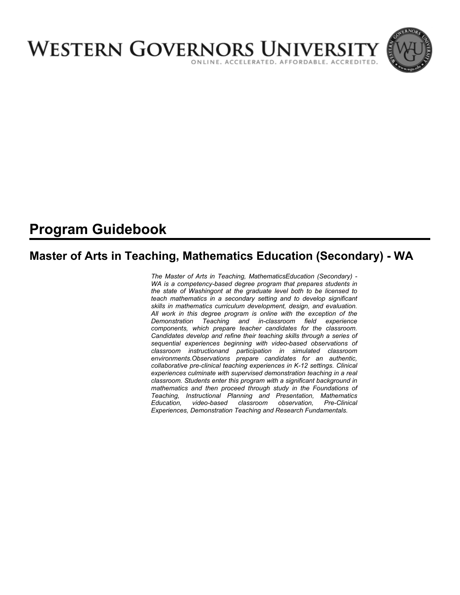

# **Program Guidebook**

# **Master of Arts in Teaching, Mathematics Education (Secondary) - WA**

*The Master of Arts in Teaching, MathematicsEducation (Secondary) - WA is a competency-based degree program that prepares students in the state of Washingont at the graduate level both to be licensed to teach mathematics in a secondary setting and to develop significant skills in mathematics curriculum development, design, and evaluation. All work in this degree program is online with the exception of the Demonstration Teaching and in-classroom field experience components, which prepare teacher candidates for the classroom. Candidates develop and refine their teaching skills through a series of sequential experiences beginning with video-based observations of classroom instructionand participation in simulated classroom environments.Observations prepare candidates for an authentic, collaborative pre-clinical teaching experiences in K-12 settings. Clinical experiences culminate with supervised demonstration teaching in a real classroom. Students enter this program with a significant background in mathematics and then proceed through study in the Foundations of Teaching, Instructional Planning and Presentation, Mathematics Education, video-based classroom observation, Pre-Clinical Experiences, Demonstration Teaching and Research Fundamentals.*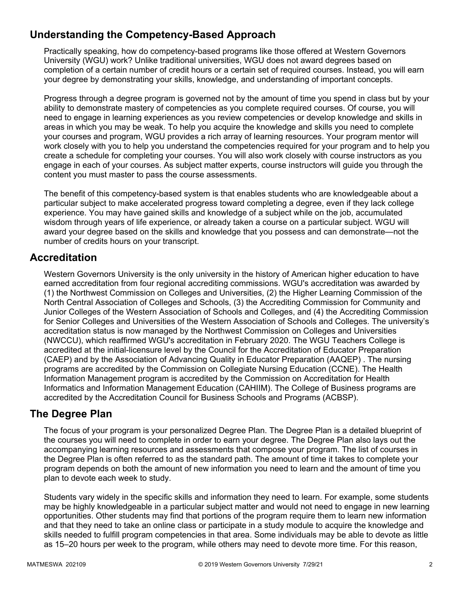## **Understanding the Competency-Based Approach**

Practically speaking, how do competency-based programs like those offered at Western Governors University (WGU) work? Unlike traditional universities, WGU does not award degrees based on completion of a certain number of credit hours or a certain set of required courses. Instead, you will earn your degree by demonstrating your skills, knowledge, and understanding of important concepts.

Progress through a degree program is governed not by the amount of time you spend in class but by your ability to demonstrate mastery of competencies as you complete required courses. Of course, you will need to engage in learning experiences as you review competencies or develop knowledge and skills in areas in which you may be weak. To help you acquire the knowledge and skills you need to complete your courses and program, WGU provides a rich array of learning resources. Your program mentor will work closely with you to help you understand the competencies required for your program and to help you create a schedule for completing your courses. You will also work closely with course instructors as you engage in each of your courses. As subject matter experts, course instructors will guide you through the content you must master to pass the course assessments.

The benefit of this competency-based system is that enables students who are knowledgeable about a particular subject to make accelerated progress toward completing a degree, even if they lack college experience. You may have gained skills and knowledge of a subject while on the job, accumulated wisdom through years of life experience, or already taken a course on a particular subject. WGU will award your degree based on the skills and knowledge that you possess and can demonstrate—not the number of credits hours on your transcript.

### **Accreditation**

Western Governors University is the only university in the history of American higher education to have earned accreditation from four regional accrediting commissions. WGU's accreditation was awarded by (1) the Northwest Commission on Colleges and Universities, (2) the Higher Learning Commission of the North Central Association of Colleges and Schools, (3) the Accrediting Commission for Community and Junior Colleges of the Western Association of Schools and Colleges, and (4) the Accrediting Commission for Senior Colleges and Universities of the Western Association of Schools and Colleges. The university's accreditation status is now managed by the Northwest Commission on Colleges and Universities (NWCCU), which reaffirmed WGU's accreditation in February 2020. The WGU Teachers College is accredited at the initial-licensure level by the Council for the Accreditation of Educator Preparation (CAEP) and by the Association of Advancing Quality in Educator Preparation (AAQEP) . The nursing programs are accredited by the Commission on Collegiate Nursing Education (CCNE). The Health Information Management program is accredited by the Commission on Accreditation for Health Informatics and Information Management Education (CAHIIM). The College of Business programs are accredited by the Accreditation Council for Business Schools and Programs (ACBSP).

### **The Degree Plan**

The focus of your program is your personalized Degree Plan. The Degree Plan is a detailed blueprint of the courses you will need to complete in order to earn your degree. The Degree Plan also lays out the accompanying learning resources and assessments that compose your program. The list of courses in the Degree Plan is often referred to as the standard path. The amount of time it takes to complete your program depends on both the amount of new information you need to learn and the amount of time you plan to devote each week to study.

Students vary widely in the specific skills and information they need to learn. For example, some students may be highly knowledgeable in a particular subject matter and would not need to engage in new learning opportunities. Other students may find that portions of the program require them to learn new information and that they need to take an online class or participate in a study module to acquire the knowledge and skills needed to fulfill program competencies in that area. Some individuals may be able to devote as little as 15–20 hours per week to the program, while others may need to devote more time. For this reason,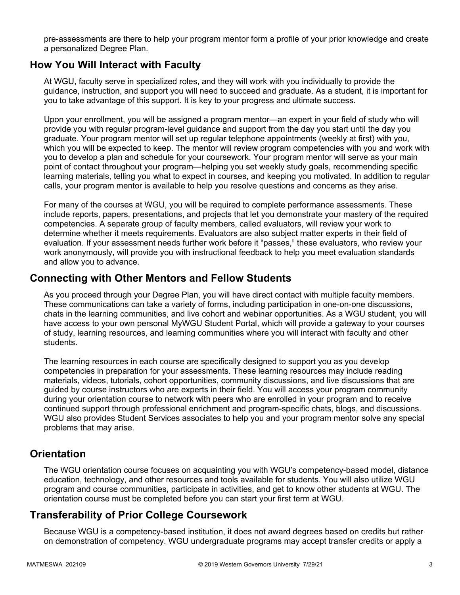pre-assessments are there to help your program mentor form a profile of your prior knowledge and create a personalized Degree Plan.

### **How You Will Interact with Faculty**

At WGU, faculty serve in specialized roles, and they will work with you individually to provide the guidance, instruction, and support you will need to succeed and graduate. As a student, it is important for you to take advantage of this support. It is key to your progress and ultimate success.

Upon your enrollment, you will be assigned a program mentor—an expert in your field of study who will provide you with regular program-level guidance and support from the day you start until the day you graduate. Your program mentor will set up regular telephone appointments (weekly at first) with you, which you will be expected to keep. The mentor will review program competencies with you and work with you to develop a plan and schedule for your coursework. Your program mentor will serve as your main point of contact throughout your program—helping you set weekly study goals, recommending specific learning materials, telling you what to expect in courses, and keeping you motivated. In addition to regular calls, your program mentor is available to help you resolve questions and concerns as they arise.

For many of the courses at WGU, you will be required to complete performance assessments. These include reports, papers, presentations, and projects that let you demonstrate your mastery of the required competencies. A separate group of faculty members, called evaluators, will review your work to determine whether it meets requirements. Evaluators are also subject matter experts in their field of evaluation. If your assessment needs further work before it "passes," these evaluators, who review your work anonymously, will provide you with instructional feedback to help you meet evaluation standards and allow you to advance.

### **Connecting with Other Mentors and Fellow Students**

As you proceed through your Degree Plan, you will have direct contact with multiple faculty members. These communications can take a variety of forms, including participation in one-on-one discussions, chats in the learning communities, and live cohort and webinar opportunities. As a WGU student, you will have access to your own personal MyWGU Student Portal, which will provide a gateway to your courses of study, learning resources, and learning communities where you will interact with faculty and other students.

The learning resources in each course are specifically designed to support you as you develop competencies in preparation for your assessments. These learning resources may include reading materials, videos, tutorials, cohort opportunities, community discussions, and live discussions that are guided by course instructors who are experts in their field. You will access your program community during your orientation course to network with peers who are enrolled in your program and to receive continued support through professional enrichment and program-specific chats, blogs, and discussions. WGU also provides Student Services associates to help you and your program mentor solve any special problems that may arise.

### **Orientation**

The WGU orientation course focuses on acquainting you with WGU's competency-based model, distance education, technology, and other resources and tools available for students. You will also utilize WGU program and course communities, participate in activities, and get to know other students at WGU. The orientation course must be completed before you can start your first term at WGU.

## **Transferability of Prior College Coursework**

Because WGU is a competency-based institution, it does not award degrees based on credits but rather on demonstration of competency. WGU undergraduate programs may accept transfer credits or apply a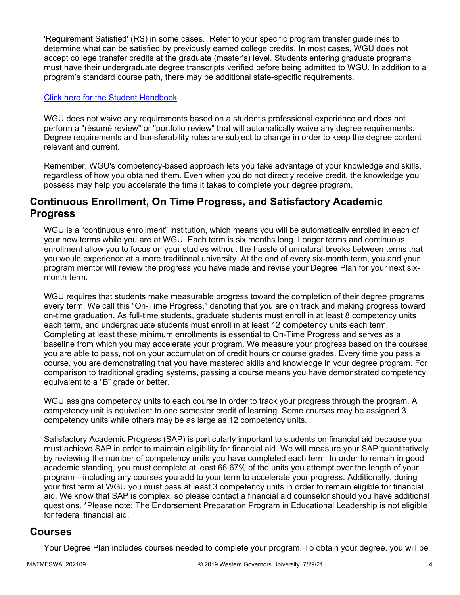'Requirement Satisfied' (RS) in some cases. Refer to your specific program transfer guidelines to determine what can be satisfied by previously earned college credits. In most cases, WGU does not accept college transfer credits at the graduate (master's) level. Students entering graduate programs must have their undergraduate degree transcripts verified before being admitted to WGU. In addition to a program's standard course path, there may be additional state-specific requirements.

### [Click here for the Student Handbook](http://cm.wgu.edu/)

WGU does not waive any requirements based on a student's professional experience and does not perform a "résumé review" or "portfolio review" that will automatically waive any degree requirements. Degree requirements and transferability rules are subject to change in order to keep the degree content relevant and current.

Remember, WGU's competency-based approach lets you take advantage of your knowledge and skills, regardless of how you obtained them. Even when you do not directly receive credit, the knowledge you possess may help you accelerate the time it takes to complete your degree program.

### **Continuous Enrollment, On Time Progress, and Satisfactory Academic Progress**

WGU is a "continuous enrollment" institution, which means you will be automatically enrolled in each of your new terms while you are at WGU. Each term is six months long. Longer terms and continuous enrollment allow you to focus on your studies without the hassle of unnatural breaks between terms that you would experience at a more traditional university. At the end of every six-month term, you and your program mentor will review the progress you have made and revise your Degree Plan for your next sixmonth term.

WGU requires that students make measurable progress toward the completion of their degree programs every term. We call this "On-Time Progress," denoting that you are on track and making progress toward on-time graduation. As full-time students, graduate students must enroll in at least 8 competency units each term, and undergraduate students must enroll in at least 12 competency units each term. Completing at least these minimum enrollments is essential to On-Time Progress and serves as a baseline from which you may accelerate your program. We measure your progress based on the courses you are able to pass, not on your accumulation of credit hours or course grades. Every time you pass a course, you are demonstrating that you have mastered skills and knowledge in your degree program. For comparison to traditional grading systems, passing a course means you have demonstrated competency equivalent to a "B" grade or better.

WGU assigns competency units to each course in order to track your progress through the program. A competency unit is equivalent to one semester credit of learning. Some courses may be assigned 3 competency units while others may be as large as 12 competency units.

Satisfactory Academic Progress (SAP) is particularly important to students on financial aid because you must achieve SAP in order to maintain eligibility for financial aid. We will measure your SAP quantitatively by reviewing the number of competency units you have completed each term. In order to remain in good academic standing, you must complete at least 66.67% of the units you attempt over the length of your program—including any courses you add to your term to accelerate your progress. Additionally, during your first term at WGU you must pass at least 3 competency units in order to remain eligible for financial aid. We know that SAP is complex, so please contact a financial aid counselor should you have additional questions. \*Please note: The Endorsement Preparation Program in Educational Leadership is not eligible for federal financial aid.

### **Courses**

Your Degree Plan includes courses needed to complete your program. To obtain your degree, you will be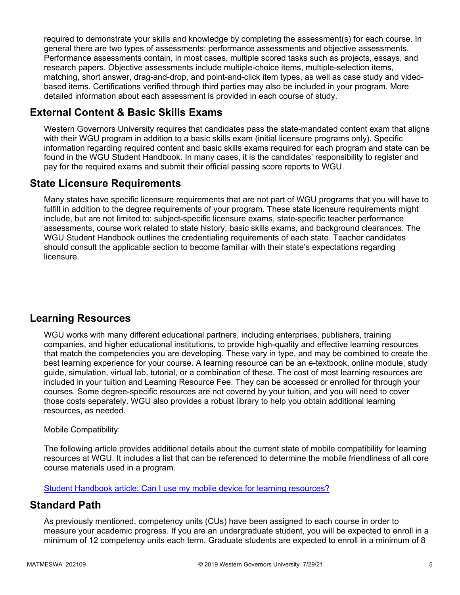required to demonstrate your skills and knowledge by completing the assessment(s) for each course. In general there are two types of assessments: performance assessments and objective assessments. Performance assessments contain, in most cases, multiple scored tasks such as projects, essays, and research papers. Objective assessments include multiple-choice items, multiple-selection items, matching, short answer, drag-and-drop, and point-and-click item types, as well as case study and videobased items. Certifications verified through third parties may also be included in your program. More detailed information about each assessment is provided in each course of study.

## **External Content & Basic Skills Exams**

Western Governors University requires that candidates pass the state-mandated content exam that aligns with their WGU program in addition to a basic skills exam (initial licensure programs only). Specific information regarding required content and basic skills exams required for each program and state can be found in the WGU Student Handbook. In many cases, it is the candidates' responsibility to register and pay for the required exams and submit their official passing score reports to WGU.

## **State Licensure Requirements**

Many states have specific licensure requirements that are not part of WGU programs that you will have to fulfill in addition to the degree requirements of your program. These state licensure requirements might include, but are not limited to: subject-specific licensure exams, state-specific teacher performance assessments, course work related to state history, basic skills exams, and background clearances. The WGU Student Handbook outlines the credentialing requirements of each state. Teacher candidates should consult the applicable section to become familiar with their state's expectations regarding licensure.

## **Learning Resources**

WGU works with many different educational partners, including enterprises, publishers, training companies, and higher educational institutions, to provide high-quality and effective learning resources that match the competencies you are developing. These vary in type, and may be combined to create the best learning experience for your course. A learning resource can be an e-textbook, online module, study guide, simulation, virtual lab, tutorial, or a combination of these. The cost of most learning resources are included in your tuition and Learning Resource Fee. They can be accessed or enrolled for through your courses. Some degree-specific resources are not covered by your tuition, and you will need to cover those costs separately. WGU also provides a robust library to help you obtain additional learning resources, as needed.

### Mobile Compatibility:

The following article provides additional details about the current state of mobile compatibility for learning resources at WGU. It includes a list that can be referenced to determine the mobile friendliness of all core course materials used in a program.

[Student Handbook article: Can I use my mobile device for learning resources?](https://cm.wgu.edu/t5/Frequently-Asked-Questions/Can-I-use-my-mobile-device-for-learning-resources/ta-p/396)

### **Standard Path**

As previously mentioned, competency units (CUs) have been assigned to each course in order to measure your academic progress. If you are an undergraduate student, you will be expected to enroll in a minimum of 12 competency units each term. Graduate students are expected to enroll in a minimum of 8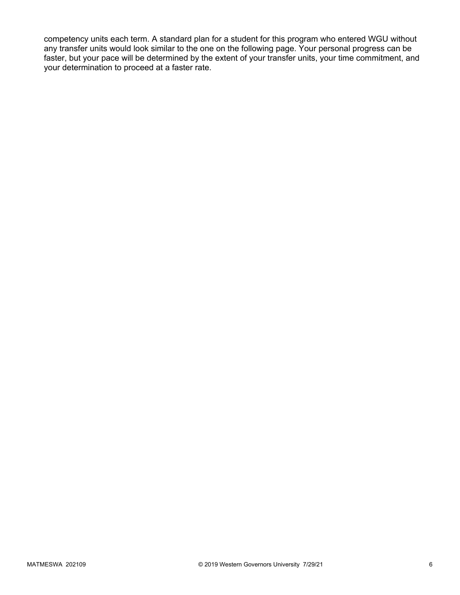competency units each term. A standard plan for a student for this program who entered WGU without any transfer units would look similar to the one on the following page. Your personal progress can be faster, but your pace will be determined by the extent of your transfer units, your time commitment, and your determination to proceed at a faster rate.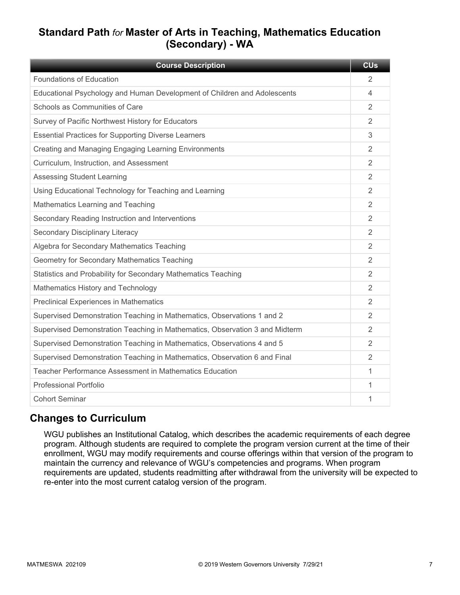## **Standard Path** *for* **Master of Arts in Teaching, Mathematics Education (Secondary) - WA**

| <b>Course Description</b>                                                   | <b>CU<sub>s</sub></b> |
|-----------------------------------------------------------------------------|-----------------------|
| Foundations of Education                                                    | 2                     |
| Educational Psychology and Human Development of Children and Adolescents    | 4                     |
| Schools as Communities of Care                                              | 2                     |
| Survey of Pacific Northwest History for Educators                           | 2                     |
| <b>Essential Practices for Supporting Diverse Learners</b>                  | 3                     |
| Creating and Managing Engaging Learning Environments                        | 2                     |
| Curriculum, Instruction, and Assessment                                     | 2                     |
| <b>Assessing Student Learning</b>                                           | 2                     |
| Using Educational Technology for Teaching and Learning                      | 2                     |
| Mathematics Learning and Teaching                                           | 2                     |
| Secondary Reading Instruction and Interventions                             | $\overline{2}$        |
| Secondary Disciplinary Literacy                                             | 2                     |
| Algebra for Secondary Mathematics Teaching                                  | $\overline{2}$        |
| Geometry for Secondary Mathematics Teaching                                 | 2                     |
| Statistics and Probability for Secondary Mathematics Teaching               | 2                     |
| Mathematics History and Technology                                          | 2                     |
| <b>Preclinical Experiences in Mathematics</b>                               | 2                     |
| Supervised Demonstration Teaching in Mathematics, Observations 1 and 2      | 2                     |
| Supervised Demonstration Teaching in Mathematics, Observation 3 and Midterm | 2                     |
| Supervised Demonstration Teaching in Mathematics, Observations 4 and 5      | 2                     |
| Supervised Demonstration Teaching in Mathematics, Observation 6 and Final   | $\overline{2}$        |
| Teacher Performance Assessment in Mathematics Education                     | 1                     |
| <b>Professional Portfolio</b>                                               | 1                     |
| <b>Cohort Seminar</b>                                                       | 1                     |

## **Changes to Curriculum**

WGU publishes an Institutional Catalog, which describes the academic requirements of each degree program. Although students are required to complete the program version current at the time of their enrollment, WGU may modify requirements and course offerings within that version of the program to maintain the currency and relevance of WGU's competencies and programs. When program requirements are updated, students readmitting after withdrawal from the university will be expected to re-enter into the most current catalog version of the program.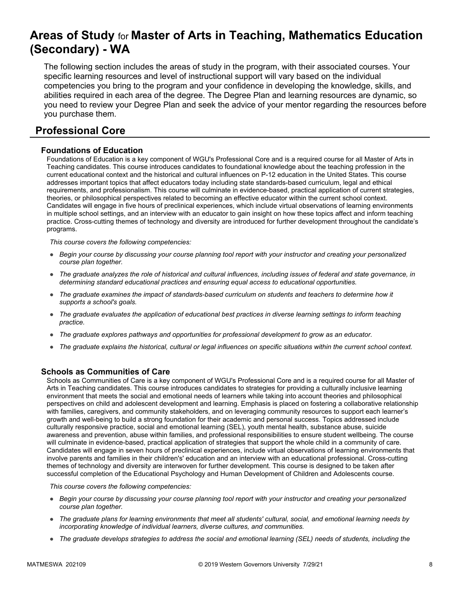# **Areas of Study** for **Master of Arts in Teaching, Mathematics Education (Secondary) - WA**

The following section includes the areas of study in the program, with their associated courses. Your specific learning resources and level of instructional support will vary based on the individual competencies you bring to the program and your confidence in developing the knowledge, skills, and abilities required in each area of the degree. The Degree Plan and learning resources are dynamic, so you need to review your Degree Plan and seek the advice of your mentor regarding the resources before you purchase them.

## **Professional Core**

### **Foundations of Education**

Foundations of Education is a key component of WGU's Professional Core and is a required course for all Master of Arts in Teaching candidates. This course introduces candidates to foundational knowledge about the teaching profession in the current educational context and the historical and cultural influences on P-12 education in the United States. This course addresses important topics that affect educators today including state standards-based curriculum, legal and ethical requirements, and professionalism. This course will culminate in evidence-based, practical application of current strategies, theories, or philosophical perspectives related to becoming an effective educator within the current school context. Candidates will engage in five hours of preclinical experiences, which include virtual observations of learning environments in multiple school settings, and an interview with an educator to gain insight on how these topics affect and inform teaching practice. Cross-cutting themes of technology and diversity are introduced for further development throughout the candidate's programs.

*This course covers the following competencies:*

- *Begin your course by discussing your course planning tool report with your instructor and creating your personalized course plan together.*
- *The graduate analyzes the role of historical and cultural influences, including issues of federal and state governance, in determining standard educational practices and ensuring equal access to educational opportunities.*
- *The graduate examines the impact of standards-based curriculum on students and teachers to determine how it supports a school's goals.*
- *The graduate evaluates the application of educational best practices in diverse learning settings to inform teaching practice.*
- *The graduate explores pathways and opportunities for professional development to grow as an educator.*
- *The graduate explains the historical, cultural or legal influences on specific situations within the current school context.*

### **Schools as Communities of Care**

Schools as Communities of Care is a key component of WGU's Professional Core and is a required course for all Master of Arts in Teaching candidates. This course introduces candidates to strategies for providing a culturally inclusive learning environment that meets the social and emotional needs of learners while taking into account theories and philosophical perspectives on child and adolescent development and learning. Emphasis is placed on fostering a collaborative relationship with families, caregivers, and community stakeholders, and on leveraging community resources to support each learner's growth and well-being to build a strong foundation for their academic and personal success. Topics addressed include culturally responsive practice, social and emotional learning (SEL), youth mental health, substance abuse, suicide awareness and prevention, abuse within families, and professional responsibilities to ensure student wellbeing. The course will culminate in evidence-based, practical application of strategies that support the whole child in a community of care. Candidates will engage in seven hours of preclinical experiences, include virtual observations of learning environments that involve parents and families in their children's' education and an interview with an educational professional. Cross-cutting themes of technology and diversity are interwoven for further development. This course is designed to be taken after successful completion of the Educational Psychology and Human Development of Children and Adolescents course.

- *Begin your course by discussing your course planning tool report with your instructor and creating your personalized course plan together.*
- *The graduate plans for learning environments that meet all students' cultural, social, and emotional learning needs by incorporating knowledge of individual learners, diverse cultures, and communities.*
- *The graduate develops strategies to address the social and emotional learning (SEL) needs of students, including the*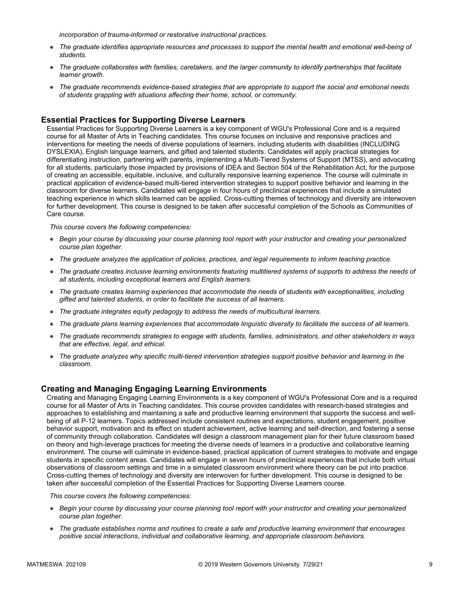*incorporation of trauma-informed or restorative instructional practices.* 

- *The graduate identifies appropriate resources and processes to support the mental health and emotional well-being of students.*
- *The graduate collaborates with families, caretakers, and the larger community to identify partnerships that facilitate learner growth.*
- *The graduate recommends evidence-based strategies that are appropriate to support the social and emotional needs of students grappling with situations affecting their home, school, or community.*

### **Essential Practices for Supporting Diverse Learners**

Essential Practices for Supporting Diverse Learners is a key component of WGU's Professional Core and is a required course for all Master of Arts in Teaching candidates. This course focuses on inclusive and responsive practices and interventions for meeting the needs of diverse populations of learners, including students with disabilities (INCLUDING DYSLEXIA), English language learners, and gifted and talented students. Candidates will apply practical strategies for differentiating instruction, partnering with parents, implementing a Multi-Tiered Systems of Support (MTSS), and advocating for all students, particularly those impacted by provisions of IDEA and Section 504 of the Rehabilitation Act, for the purpose of creating an accessible, equitable, inclusive, and culturally responsive learning experience. The course will culminate in practical application of evidence-based multi-tiered intervention strategies to support positive behavior and learning in the classroom for diverse learners. Candidates will engage in four hours of preclinical experiences that include a simulated teaching experience in which skills learned can be applied. Cross-cutting themes of technology and diversity are interwoven for further development. This course is designed to be taken after successful completion of the Schools as Communities of Care course.

*This course covers the following competencies:*

- *Begin your course by discussing your course planning tool report with your instructor and creating your personalized course plan together.*
- *The graduate analyzes the application of policies, practices, and legal requirements to inform teaching practice.*
- *The graduate creates inclusive learning environments featuring multitiered systems of supports to address the needs of all students, including exceptional learners and English learners.*
- *The graduate creates learning experiences that accommodate the needs of students with exceptionalities, including gifted and talented students, in order to facilitate the success of all learners.*
- *The graduate integrates equity pedagogy to address the needs of multicultural learners.*
- *The graduate plans learning experiences that accommodate linguistic diversity to facilitate the success of all learners.*
- *The graduate recommends strategies to engage with students, families, administrators, and other stakeholders in ways that are effective, legal, and ethical.*
- *The graduate analyzes why specific multi-tiered intervention strategies support positive behavior and learning in the classroom.*

#### **Creating and Managing Engaging Learning Environments**

Creating and Managing Engaging Learning Environments is a key component of WGU's Professional Core and is a required course for all Master of Arts in Teaching candidates. This course provides candidates with research-based strategies and approaches to establishing and maintaining a safe and productive learning environment that supports the success and wellbeing of all P-12 learners. Topics addressed include consistent routines and expectations, student engagement, positive behavior support, motivation and its effect on student achievement, active learning and self-direction, and fostering a sense of community through collaboration. Candidates will design a classroom management plan for their future classroom based on theory and high-leverage practices for meeting the diverse needs of learners in a productive and collaborative learning environment. The course will culminate in evidence-based, practical application of current strategies to motivate and engage students in specific content areas. Candidates will engage in seven hours of preclinical experiences that include both virtual observations of classroom settings and time in a simulated classroom environment where theory can be put into practice. Cross-cutting themes of technology and diversity are interwoven for further development. This course is designed to be taken after successful completion of the Essential Practices for Supporting Diverse Learners course.

- *Begin your course by discussing your course planning tool report with your instructor and creating your personalized course plan together.*
- *The graduate establishes norms and routines to create a safe and productive learning environment that encourages positive social interactions, individual and collaborative learning, and appropriate classroom behaviors.*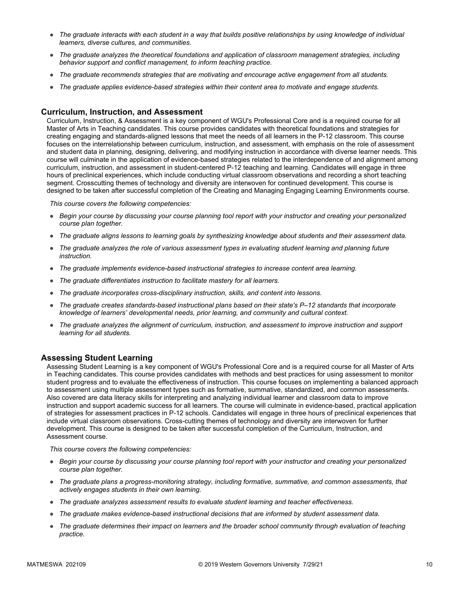- *The graduate interacts with each student in a way that builds positive relationships by using knowledge of individual learners, diverse cultures, and communities.*
- *The graduate analyzes the theoretical foundations and application of classroom management strategies, including behavior support and conflict management, to inform teaching practice.*
- *The graduate recommends strategies that are motivating and encourage active engagement from all students.*
- *The graduate applies evidence-based strategies within their content area to motivate and engage students.*

#### **Curriculum, Instruction, and Assessment**

Curriculum, Instruction, & Assessment is a key component of WGU's Professional Core and is a required course for all Master of Arts in Teaching candidates. This course provides candidates with theoretical foundations and strategies for creating engaging and standards-aligned lessons that meet the needs of all learners in the P-12 classroom. This course focuses on the interrelationship between curriculum, instruction, and assessment, with emphasis on the role of assessment and student data in planning, designing, delivering, and modifying instruction in accordance with diverse learner needs. This course will culminate in the application of evidence-based strategies related to the interdependence of and alignment among curriculum, instruction, and assessment in student-centered P-12 teaching and learning. Candidates will engage in three hours of preclinical experiences, which include conducting virtual classroom observations and recording a short teaching segment. Crosscutting themes of technology and diversity are interwoven for continued development. This course is designed to be taken after successful completion of the Creating and Managing Engaging Learning Environments course.

*This course covers the following competencies:*

- *Begin your course by discussing your course planning tool report with your instructor and creating your personalized course plan together.*
- *The graduate aligns lessons to learning goals by synthesizing knowledge about students and their assessment data.*
- *The graduate analyzes the role of various assessment types in evaluating student learning and planning future instruction.*
- *The graduate implements evidence-based instructional strategies to increase content area learning.*
- *The graduate differentiates instruction to facilitate mastery for all learners.*
- *The graduate incorporates cross-disciplinary instruction, skills, and content into lessons.*
- *The graduate creates standards-based instructional plans based on their state's P–12 standards that incorporate knowledge of learners' developmental needs, prior learning, and community and cultural context.*
- *The graduate analyzes the alignment of curriculum, instruction, and assessment to improve instruction and support learning for all students.*

### **Assessing Student Learning**

Assessing Student Learning is a key component of WGU's Professional Core and is a required course for all Master of Arts in Teaching candidates. This course provides candidates with methods and best practices for using assessment to monitor student progress and to evaluate the effectiveness of instruction. This course focuses on implementing a balanced approach to assessment using multiple assessment types such as formative, summative, standardized, and common assessments. Also covered are data literacy skills for interpreting and analyzing individual learner and classroom data to improve instruction and support academic success for all learners. The course will culminate in evidence-based, practical application of strategies for assessment practices in P-12 schools. Candidates will engage in three hours of preclinical experiences that include virtual classroom observations. Cross-cutting themes of technology and diversity are interwoven for further development. This course is designed to be taken after successful completion of the Curriculum, Instruction, and Assessment course.

- *Begin your course by discussing your course planning tool report with your instructor and creating your personalized course plan together.*
- *The graduate plans a progress-monitoring strategy, including formative, summative, and common assessments, that actively engages students in their own learning.*
- *The graduate analyzes assessment results to evaluate student learning and teacher effectiveness.*
- *The graduate makes evidence-based instructional decisions that are informed by student assessment data.*
- The graduate determines their impact on learners and the broader school community through evaluation of teaching *practice.*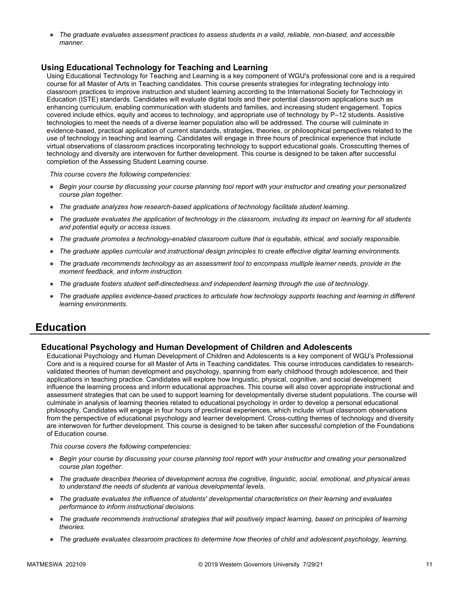● *The graduate evaluates assessment practices to assess students in a valid, reliable, non-biased, and accessible manner.*

### **Using Educational Technology for Teaching and Learning**

Using Educational Technology for Teaching and Learning is a key component of WGU's professional core and is a required course for all Master of Arts in Teaching candidates. This course presents strategies for integrating technology into classroom practices to improve instruction and student learning according to the International Society for Technology in Education (ISTE) standards. Candidates will evaluate digital tools and their potential classroom applications such as enhancing curriculum, enabling communication with students and families, and increasing student engagement. Topics covered include ethics, equity and access to technology, and appropriate use of technology by P–12 students. Assistive technologies to meet the needs of a diverse learner population also will be addressed. The course will culminate in evidence-based, practical application of current standards, strategies, theories, or philosophical perspectives related to the use of technology in teaching and learning. Candidates will engage in three hours of preclinical experience that include virtual observations of classroom practices incorporating technology to support educational goals. Crosscutting themes of technology and diversity are interwoven for further development. This course is designed to be taken after successful completion of the Assessing Student Learning course.

*This course covers the following competencies:*

- *Begin your course by discussing your course planning tool report with your instructor and creating your personalized course plan together.*
- *The graduate analyzes how research-based applications of technology facilitate student learning.*
- *The graduate evaluates the application of technology in the classroom, including its impact on learning for all students and potential equity or access issues.*
- *The graduate promotes a technology-enabled classroom culture that is equitable, ethical, and socially responsible.*
- *The graduate applies curricular and instructional design principles to create effective digital learning environments.*
- *The graduate recommends technology as an assessment tool to encompass multiple learner needs, provide in the moment feedback, and inform instruction.*
- *The graduate fosters student self-directedness and independent learning through the use of technology.*
- The graduate applies evidence-based practices to articulate how technology supports teaching and learning in different *learning environments.*

### **Education**

### **Educational Psychology and Human Development of Children and Adolescents**

Educational Psychology and Human Development of Children and Adolescents is a key component of WGU's Professional Core and is a required course for all Master of Arts in Teaching candidates. This course introduces candidates to researchvalidated theories of human development and psychology, spanning from early childhood through adolescence, and their applications in teaching practice. Candidates will explore how linguistic, physical, cognitive, and social development influence the learning process and inform educational approaches. This course will also cover appropriate instructional and assessment strategies that can be used to support learning for developmentally diverse student populations. The course will culminate in analysis of learning theories related to educational psychology in order to develop a personal educational philosophy. Candidates will engage in four hours of preclinical experiences, which include virtual classroom observations from the perspective of educational psychology and learner development. Cross-cutting themes of technology and diversity are interwoven for further development. This course is designed to be taken after successful completion of the Foundations of Education course.

- *Begin your course by discussing your course planning tool report with your instructor and creating your personalized course plan together.*
- *The graduate describes theories of development across the cognitive, linguistic, social, emotional, and physical areas to understand the needs of students at various developmental levels.*
- *The graduate evaluates the influence of students' developmental characteristics on their learning and evaluates performance to inform instructional decisions.*
- *The graduate recommends instructional strategies that will positively impact learning, based on principles of learning theories.*
- *The graduate evaluates classroom practices to determine how theories of child and adolescent psychology, learning,*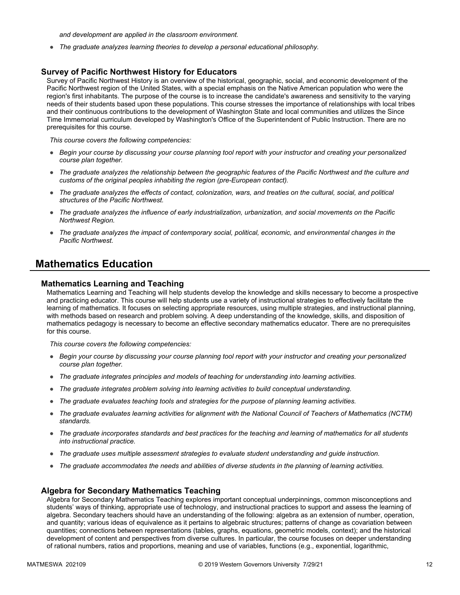*and development are applied in the classroom environment.*

● *The graduate analyzes learning theories to develop a personal educational philosophy.*

#### **Survey of Pacific Northwest History for Educators**

Survey of Pacific Northwest History is an overview of the historical, geographic, social, and economic development of the Pacific Northwest region of the United States, with a special emphasis on the Native American population who were the region's first inhabitants. The purpose of the course is to increase the candidate's awareness and sensitivity to the varying needs of their students based upon these populations. This course stresses the importance of relationships with local tribes and their continuous contributions to the development of Washington State and local communities and utilizes the Since Time Immemorial curriculum developed by Washington's Office of the Superintendent of Public Instruction. There are no prerequisites for this course.

*This course covers the following competencies:*

- *Begin your course by discussing your course planning tool report with your instructor and creating your personalized course plan together.*
- *The graduate analyzes the relationship between the geographic features of the Pacific Northwest and the culture and customs of the original peoples inhabiting the region (pre-European contact).*
- *The graduate analyzes the effects of contact, colonization, wars, and treaties on the cultural, social, and political structures of the Pacific Northwest.*
- *The graduate analyzes the influence of early industrialization, urbanization, and social movements on the Pacific Northwest Region.*
- *The graduate analyzes the impact of contemporary social, political, economic, and environmental changes in the Pacific Northwest.*

### **Mathematics Education**

#### **Mathematics Learning and Teaching**

Mathematics Learning and Teaching will help students develop the knowledge and skills necessary to become a prospective and practicing educator. This course will help students use a variety of instructional strategies to effectively facilitate the learning of mathematics. It focuses on selecting appropriate resources, using multiple strategies, and instructional planning, with methods based on research and problem solving. A deep understanding of the knowledge, skills, and disposition of mathematics pedagogy is necessary to become an effective secondary mathematics educator. There are no prerequisites for this course.

*This course covers the following competencies:*

- *Begin your course by discussing your course planning tool report with your instructor and creating your personalized course plan together.*
- *The graduate integrates principles and models of teaching for understanding into learning activities.*
- *The graduate integrates problem solving into learning activities to build conceptual understanding.*
- *The graduate evaluates teaching tools and strategies for the purpose of planning learning activities.*
- *The graduate evaluates learning activities for alignment with the National Council of Teachers of Mathematics (NCTM) standards.*
- *The graduate incorporates standards and best practices for the teaching and learning of mathematics for all students into instructional practice.*
- *The graduate uses multiple assessment strategies to evaluate student understanding and guide instruction.*
- *The graduate accommodates the needs and abilities of diverse students in the planning of learning activities.*

#### **Algebra for Secondary Mathematics Teaching**

Algebra for Secondary Mathematics Teaching explores important conceptual underpinnings, common misconceptions and students' ways of thinking, appropriate use of technology, and instructional practices to support and assess the learning of algebra. Secondary teachers should have an understanding of the following: algebra as an extension of number, operation, and quantity; various ideas of equivalence as it pertains to algebraic structures; patterns of change as covariation between quantities; connections between representations (tables, graphs, equations, geometric models, context); and the historical development of content and perspectives from diverse cultures. In particular, the course focuses on deeper understanding of rational numbers, ratios and proportions, meaning and use of variables, functions (e.g., exponential, logarithmic,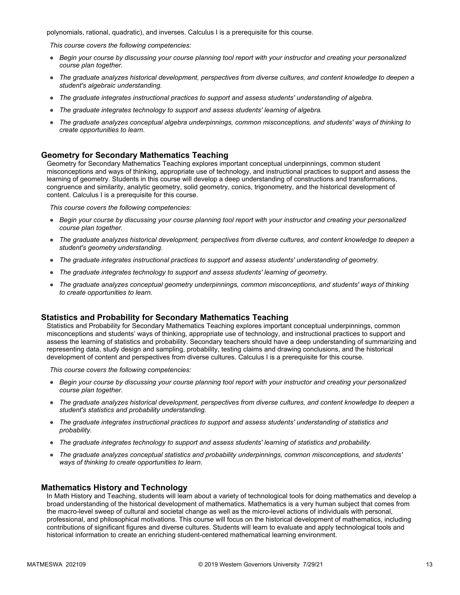polynomials, rational, quadratic), and inverses. Calculus I is a prerequisite for this course.

*This course covers the following competencies:*

- *Begin your course by discussing your course planning tool report with your instructor and creating your personalized course plan together.*
- *The graduate analyzes historical development, perspectives from diverse cultures, and content knowledge to deepen a student's algebraic understanding.*
- *The graduate integrates instructional practices to support and assess students' understanding of algebra.*
- *The graduate integrates technology to support and assess students' learning of algebra.*
- *The graduate analyzes conceptual algebra underpinnings, common misconceptions, and students' ways of thinking to create opportunities to learn.*

### **Geometry for Secondary Mathematics Teaching**

Geometry for Secondary Mathematics Teaching explores important conceptual underpinnings, common student misconceptions and ways of thinking, appropriate use of technology, and instructional practices to support and assess the learning of geometry. Students in this course will develop a deep understanding of constructions and transformations, congruence and similarity, analytic geometry, solid geometry, conics, trigonometry, and the historical development of content. Calculus I is a prerequisite for this course.

*This course covers the following competencies:*

- *Begin your course by discussing your course planning tool report with your instructor and creating your personalized course plan together.*
- *The graduate analyzes historical development, perspectives from diverse cultures, and content knowledge to deepen a student's geometry understanding.*
- *The graduate integrates instructional practices to support and assess students' understanding of geometry.*
- *The graduate integrates technology to support and assess students' learning of geometry.*
- *The graduate analyzes conceptual geometry underpinnings, common misconceptions, and students' ways of thinking to create opportunities to learn.*

### **Statistics and Probability for Secondary Mathematics Teaching**

Statistics and Probability for Secondary Mathematics Teaching explores important conceptual underpinnings, common misconceptions and students' ways of thinking, appropriate use of technology, and instructional practices to support and assess the learning of statistics and probability. Secondary teachers should have a deep understanding of summarizing and representing data, study design and sampling, probability, testing claims and drawing conclusions, and the historical development of content and perspectives from diverse cultures. Calculus I is a prerequisite for this course.

*This course covers the following competencies:*

- *Begin your course by discussing your course planning tool report with your instructor and creating your personalized course plan together.*
- *The graduate analyzes historical development, perspectives from diverse cultures, and content knowledge to deepen a student's statistics and probability understanding.*
- *The graduate integrates instructional practices to support and assess students' understanding of statistics and probability.*
- *The graduate integrates technology to support and assess students' learning of statistics and probability.*
- *The graduate analyzes conceptual statistics and probability underpinnings, common misconceptions, and students' ways of thinking to create opportunities to learn.*

#### **Mathematics History and Technology**

In Math History and Teaching, students will learn about a variety of technological tools for doing mathematics and develop a broad understanding of the historical development of mathematics. Mathematics is a very human subject that comes from the macro-level sweep of cultural and societal change as well as the micro-level actions of individuals with personal, professional, and philosophical motivations. This course will focus on the historical development of mathematics, including contributions of significant figures and diverse cultures. Students will learn to evaluate and apply technological tools and historical information to create an enriching student-centered mathematical learning environment.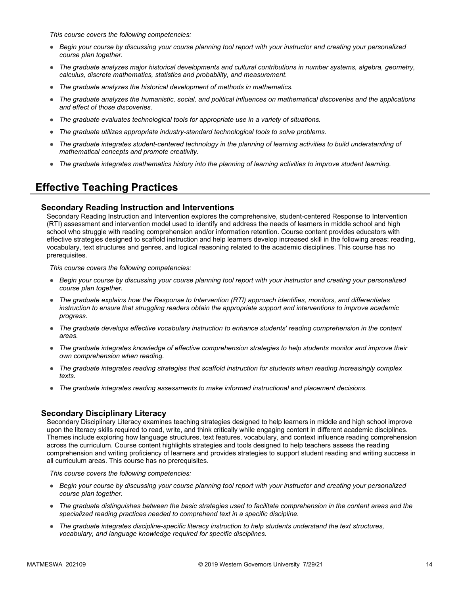*This course covers the following competencies:*

- *Begin your course by discussing your course planning tool report with your instructor and creating your personalized course plan together.*
- *The graduate analyzes major historical developments and cultural contributions in number systems, algebra, geometry, calculus, discrete mathematics, statistics and probability, and measurement.*
- *The graduate analyzes the historical development of methods in mathematics.*
- *The graduate analyzes the humanistic, social, and political influences on mathematical discoveries and the applications and effect of those discoveries.*
- *The graduate evaluates technological tools for appropriate use in a variety of situations.*
- *The graduate utilizes appropriate industry-standard technological tools to solve problems.*
- *The graduate integrates student-centered technology in the planning of learning activities to build understanding of mathematical concepts and promote creativity.*
- *The graduate integrates mathematics history into the planning of learning activities to improve student learning.*

## **Effective Teaching Practices**

### **Secondary Reading Instruction and Interventions**

Secondary Reading Instruction and Intervention explores the comprehensive, student-centered Response to Intervention (RTI) assessment and intervention model used to identify and address the needs of learners in middle school and high school who struggle with reading comprehension and/or information retention. Course content provides educators with effective strategies designed to scaffold instruction and help learners develop increased skill in the following areas: reading, vocabulary, text structures and genres, and logical reasoning related to the academic disciplines. This course has no prerequisites.

*This course covers the following competencies:*

- *Begin your course by discussing your course planning tool report with your instructor and creating your personalized course plan together.*
- *The graduate explains how the Response to Intervention (RTI) approach identifies, monitors, and differentiates instruction to ensure that struggling readers obtain the appropriate support and interventions to improve academic progress.*
- *The graduate develops effective vocabulary instruction to enhance students' reading comprehension in the content areas.*
- *The graduate integrates knowledge of effective comprehension strategies to help students monitor and improve their own comprehension when reading.*
- *The graduate integrates reading strategies that scaffold instruction for students when reading increasingly complex texts.*
- *The graduate integrates reading assessments to make informed instructional and placement decisions.*

### **Secondary Disciplinary Literacy**

Secondary Disciplinary Literacy examines teaching strategies designed to help learners in middle and high school improve upon the literacy skills required to read, write, and think critically while engaging content in different academic disciplines. Themes include exploring how language structures, text features, vocabulary, and context influence reading comprehension across the curriculum. Course content highlights strategies and tools designed to help teachers assess the reading comprehension and writing proficiency of learners and provides strategies to support student reading and writing success in all curriculum areas. This course has no prerequisites.

- *Begin your course by discussing your course planning tool report with your instructor and creating your personalized course plan together.*
- *The graduate distinguishes between the basic strategies used to facilitate comprehension in the content areas and the specialized reading practices needed to comprehend text in a specific discipline.*
- *The graduate integrates discipline-specific literacy instruction to help students understand the text structures, vocabulary, and language knowledge required for specific disciplines.*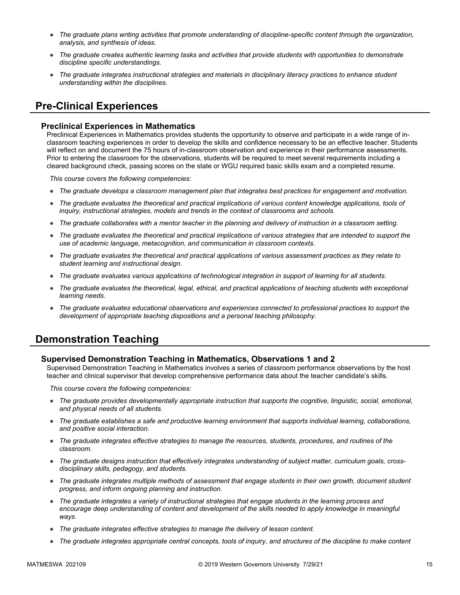- *The graduate plans writing activities that promote understanding of discipline-specific content through the organization, analysis, and synthesis of ideas.*
- *The graduate creates authentic learning tasks and activities that provide students with opportunities to demonstrate discipline specific understandings.*
- *The graduate integrates instructional strategies and materials in disciplinary literacy practices to enhance student understanding within the disciplines.*

## **Pre-Clinical Experiences**

### **Preclinical Experiences in Mathematics**

Preclinical Experiences in Mathematics provides students the opportunity to observe and participate in a wide range of inclassroom teaching experiences in order to develop the skills and confidence necessary to be an effective teacher. Students will reflect on and document the 75 hours of in-classroom observation and experience in their performance assessments. Prior to entering the classroom for the observations, students will be required to meet several requirements including a cleared background check, passing scores on the state or WGU required basic skills exam and a completed resume.

*This course covers the following competencies:*

- *The graduate develops a classroom management plan that integrates best practices for engagement and motivation.*
- *The graduate evaluates the theoretical and practical implications of various content knowledge applications, tools of inquiry, instructional strategies, models and trends in the context of classrooms and schools.*
- *The graduate collaborates with a mentor teacher in the planning and delivery of instruction in a classroom setting.*
- *The graduate evaluates the theoretical and practical implications of various strategies that are intended to support the use of academic language, metacognition, and communication in classroom contexts.*
- *The graduate evaluates the theoretical and practical applications of various assessment practices as they relate to student learning and instructional design.*
- *The graduate evaluates various applications of technological integration in support of learning for all students.*
- *The graduate evaluates the theoretical, legal, ethical, and practical applications of teaching students with exceptional learning needs.*
- *The graduate evaluates educational observations and experiences connected to professional practices to support the development of appropriate teaching dispositions and a personal teaching philosophy.*

### **Demonstration Teaching**

### **Supervised Demonstration Teaching in Mathematics, Observations 1 and 2**

Supervised Demonstration Teaching in Mathematics involves a series of classroom performance observations by the host teacher and clinical supervisor that develop comprehensive performance data about the teacher candidate's skills.

- *The graduate provides developmentally appropriate instruction that supports the cognitive, linguistic, social, emotional, and physical needs of all students.*
- *The graduate establishes a safe and productive learning environment that supports individual learning, collaborations, and positive social interaction.*
- *The graduate integrates effective strategies to manage the resources, students, procedures, and routines of the classroom.*
- The graduate designs instruction that effectively integrates understanding of subject matter, curriculum goals, cross*disciplinary skills, pedagogy, and students.*
- *The graduate integrates multiple methods of assessment that engage students in their own growth, document student progress, and inform ongoing planning and instruction.*
- *The graduate integrates a variety of instructional strategies that engage students in the learning process and*  encourage deep understanding of content and development of the skills needed to apply knowledge in meaningful *ways.*
- *The graduate integrates effective strategies to manage the delivery of lesson content.*
- *The graduate integrates appropriate central concepts, tools of inquiry, and structures of the discipline to make content*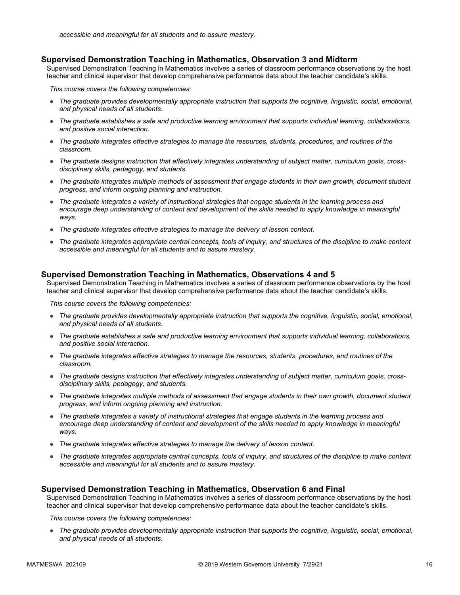#### **Supervised Demonstration Teaching in Mathematics, Observation 3 and Midterm**

Supervised Demonstration Teaching in Mathematics involves a series of classroom performance observations by the host teacher and clinical supervisor that develop comprehensive performance data about the teacher candidate's skills.

*This course covers the following competencies:*

- *The graduate provides developmentally appropriate instruction that supports the cognitive, linguistic, social, emotional, and physical needs of all students.*
- *The graduate establishes a safe and productive learning environment that supports individual learning, collaborations, and positive social interaction.*
- *The graduate integrates effective strategies to manage the resources, students, procedures, and routines of the classroom.*
- *The graduate designs instruction that effectively integrates understanding of subject matter, curriculum goals, crossdisciplinary skills, pedagogy, and students.*
- *The graduate integrates multiple methods of assessment that engage students in their own growth, document student progress, and inform ongoing planning and instruction.*
- *The graduate integrates a variety of instructional strategies that engage students in the learning process and encourage deep understanding of content and development of the skills needed to apply knowledge in meaningful ways.*
- *The graduate integrates effective strategies to manage the delivery of lesson content.*
- *The graduate integrates appropriate central concepts, tools of inquiry, and structures of the discipline to make content accessible and meaningful for all students and to assure mastery.*

### **Supervised Demonstration Teaching in Mathematics, Observations 4 and 5**

Supervised Demonstration Teaching in Mathematics involves a series of classroom performance observations by the host teacher and clinical supervisor that develop comprehensive performance data about the teacher candidate's skills.

*This course covers the following competencies:*

- *The graduate provides developmentally appropriate instruction that supports the cognitive, linguistic, social, emotional, and physical needs of all students.*
- *The graduate establishes a safe and productive learning environment that supports individual learning, collaborations, and positive social interaction.*
- *The graduate integrates effective strategies to manage the resources, students, procedures, and routines of the classroom.*
- *The graduate designs instruction that effectively integrates understanding of subject matter, curriculum goals, crossdisciplinary skills, pedagogy, and students.*
- *The graduate integrates multiple methods of assessment that engage students in their own growth, document student progress, and inform ongoing planning and instruction.*
- *The graduate integrates a variety of instructional strategies that engage students in the learning process and*  encourage deep understanding of content and development of the skills needed to apply knowledge in meaningful *ways.*
- *The graduate integrates effective strategies to manage the delivery of lesson content.*
- *The graduate integrates appropriate central concepts, tools of inquiry, and structures of the discipline to make content accessible and meaningful for all students and to assure mastery.*

### **Supervised Demonstration Teaching in Mathematics, Observation 6 and Final**

Supervised Demonstration Teaching in Mathematics involves a series of classroom performance observations by the host teacher and clinical supervisor that develop comprehensive performance data about the teacher candidate's skills.

*This course covers the following competencies:*

● *The graduate provides developmentally appropriate instruction that supports the cognitive, linguistic, social, emotional, and physical needs of all students.*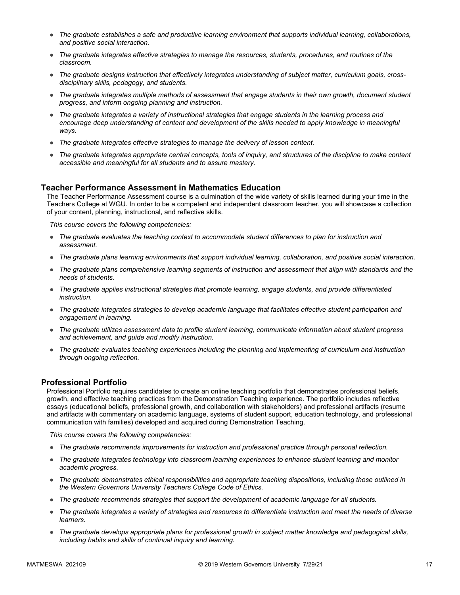- *The graduate establishes a safe and productive learning environment that supports individual learning, collaborations, and positive social interaction.*
- *The graduate integrates effective strategies to manage the resources, students, procedures, and routines of the classroom.*
- *The graduate designs instruction that effectively integrates understanding of subject matter, curriculum goals, crossdisciplinary skills, pedagogy, and students.*
- *The graduate integrates multiple methods of assessment that engage students in their own growth, document student progress, and inform ongoing planning and instruction.*
- *The graduate integrates a variety of instructional strategies that engage students in the learning process and*  encourage deep understanding of content and development of the skills needed to apply knowledge in meaningful *ways.*
- *The graduate integrates effective strategies to manage the delivery of lesson content.*
- *The graduate integrates appropriate central concepts, tools of inquiry, and structures of the discipline to make content accessible and meaningful for all students and to assure mastery.*

### **Teacher Performance Assessment in Mathematics Education**

The Teacher Performance Assessment course is a culmination of the wide variety of skills learned during your time in the Teachers College at WGU. In order to be a competent and independent classroom teacher, you will showcase a collection of your content, planning, instructional, and reflective skills.

*This course covers the following competencies:*

- *The graduate evaluates the teaching context to accommodate student differences to plan for instruction and assessment.*
- *The graduate plans learning environments that support individual learning, collaboration, and positive social interaction.*
- *The graduate plans comprehensive learning segments of instruction and assessment that align with standards and the needs of students.*
- *The graduate applies instructional strategies that promote learning, engage students, and provide differentiated instruction.*
- *The graduate integrates strategies to develop academic language that facilitates effective student participation and engagement in learning.*
- *The graduate utilizes assessment data to profile student learning, communicate information about student progress and achievement, and guide and modify instruction.*
- *The graduate evaluates teaching experiences including the planning and implementing of curriculum and instruction through ongoing reflection.*

### **Professional Portfolio**

Professional Portfolio requires candidates to create an online teaching portfolio that demonstrates professional beliefs, growth, and effective teaching practices from the Demonstration Teaching experience. The portfolio includes reflective essays (educational beliefs, professional growth, and collaboration with stakeholders) and professional artifacts (resume and artifacts with commentary on academic language, systems of student support, education technology, and professional communication with families) developed and acquired during Demonstration Teaching.

- *The graduate recommends improvements for instruction and professional practice through personal reflection.*
- *The graduate integrates technology into classroom learning experiences to enhance student learning and monitor academic progress.*
- *The graduate demonstrates ethical responsibilities and appropriate teaching dispositions, including those outlined in the Western Governors University Teachers College Code of Ethics.*
- *The graduate recommends strategies that support the development of academic language for all students.*
- *The graduate integrates a variety of strategies and resources to differentiate instruction and meet the needs of diverse learners.*
- *The graduate develops appropriate plans for professional growth in subject matter knowledge and pedagogical skills, including habits and skills of continual inquiry and learning.*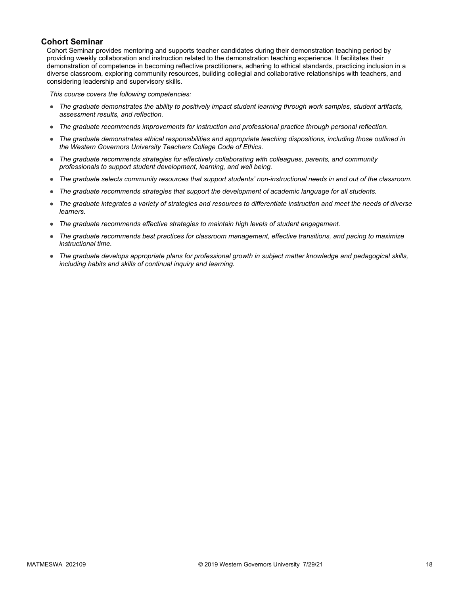### **Cohort Seminar**

Cohort Seminar provides mentoring and supports teacher candidates during their demonstration teaching period by providing weekly collaboration and instruction related to the demonstration teaching experience. It facilitates their demonstration of competence in becoming reflective practitioners, adhering to ethical standards, practicing inclusion in a diverse classroom, exploring community resources, building collegial and collaborative relationships with teachers, and considering leadership and supervisory skills.

- *The graduate demonstrates the ability to positively impact student learning through work samples, student artifacts, assessment results, and reflection.*
- *The graduate recommends improvements for instruction and professional practice through personal reflection.*
- *The graduate demonstrates ethical responsibilities and appropriate teaching dispositions, including those outlined in the Western Governors University Teachers College Code of Ethics.*
- *The graduate recommends strategies for effectively collaborating with colleagues, parents, and community professionals to support student development, learning, and well being.*
- *The graduate selects community resources that support students' non-instructional needs in and out of the classroom.*
- *The graduate recommends strategies that support the development of academic language for all students.*
- *The graduate integrates a variety of strategies and resources to differentiate instruction and meet the needs of diverse learners.*
- *The graduate recommends effective strategies to maintain high levels of student engagement.*
- *The graduate recommends best practices for classroom management, effective transitions, and pacing to maximize instructional time.*
- *The graduate develops appropriate plans for professional growth in subject matter knowledge and pedagogical skills, including habits and skills of continual inquiry and learning.*